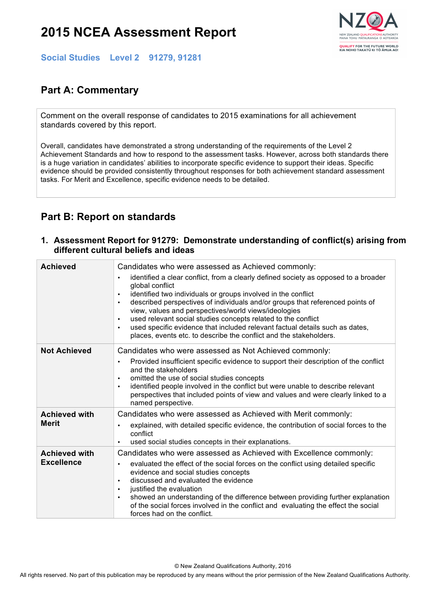# **2015 NCEA Assessment Report**



**Social Studies Level 2 91279, 91281**

## **Part A: Commentary**

Comment on the overall response of candidates to 2015 examinations for all achievement standards covered by this report.

Overall, candidates have demonstrated a strong understanding of the requirements of the Level 2 Achievement Standards and how to respond to the assessment tasks. However, across both standards there is a huge variation in candidates' abilities to incorporate specific evidence to support their ideas. Specific evidence should be provided consistently throughout responses for both achievement standard assessment tasks. For Merit and Excellence, specific evidence needs to be detailed.

### **Part B: Report on standards**

#### **1. Assessment Report for 91279: Demonstrate understanding of conflict(s) arising from different cultural beliefs and ideas**

| <b>Achieved</b>      | Candidates who were assessed as Achieved commonly:                                                                                                                                                                                                                                                                                                                                                                                                                                                                                                   |
|----------------------|------------------------------------------------------------------------------------------------------------------------------------------------------------------------------------------------------------------------------------------------------------------------------------------------------------------------------------------------------------------------------------------------------------------------------------------------------------------------------------------------------------------------------------------------------|
|                      | identified a clear conflict, from a clearly defined society as opposed to a broader<br>global conflict<br>identified two individuals or groups involved in the conflict<br>described perspectives of individuals and/or groups that referenced points of<br>view, values and perspectives/world views/ideologies<br>used relevant social studies concepts related to the conflict<br>used specific evidence that included relevant factual details such as dates,<br>$\bullet$<br>places, events etc. to describe the conflict and the stakeholders. |
| <b>Not Achieved</b>  | Candidates who were assessed as Not Achieved commonly:                                                                                                                                                                                                                                                                                                                                                                                                                                                                                               |
|                      | Provided insufficient specific evidence to support their description of the conflict<br>$\bullet$<br>and the stakeholders<br>omitted the use of social studies concepts<br>identified people involved in the conflict but were unable to describe relevant<br>$\bullet$<br>perspectives that included points of view and values and were clearly linked to a<br>named perspective.                                                                                                                                                                   |
| <b>Achieved with</b> | Candidates who were assessed as Achieved with Merit commonly:                                                                                                                                                                                                                                                                                                                                                                                                                                                                                        |
| <b>Merit</b>         | explained, with detailed specific evidence, the contribution of social forces to the<br>conflict<br>used social studies concepts in their explanations.                                                                                                                                                                                                                                                                                                                                                                                              |
| <b>Achieved with</b> | Candidates who were assessed as Achieved with Excellence commonly:                                                                                                                                                                                                                                                                                                                                                                                                                                                                                   |
| <b>Excellence</b>    | evaluated the effect of the social forces on the conflict using detailed specific<br>evidence and social studies concepts<br>discussed and evaluated the evidence<br>$\bullet$<br>justified the evaluation<br>$\bullet$<br>showed an understanding of the difference between providing further explanation<br>of the social forces involved in the conflict and evaluating the effect the social<br>forces had on the conflict.                                                                                                                      |

© New Zealand Qualifications Authority, 2016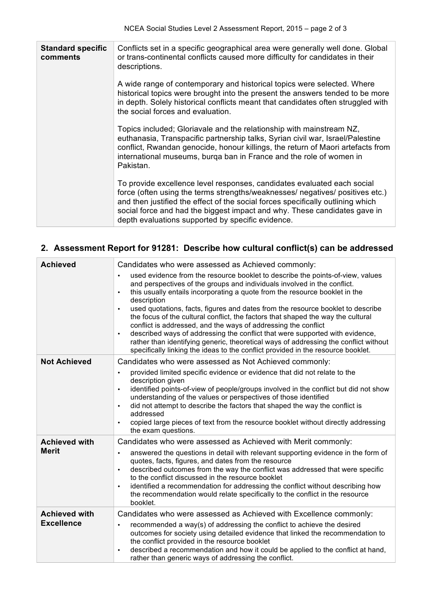| <b>Standard specific</b><br>comments | Conflicts set in a specific geographical area were generally well done. Global<br>or trans-continental conflicts caused more difficulty for candidates in their<br>descriptions.                                                                                                                                                                                              |
|--------------------------------------|-------------------------------------------------------------------------------------------------------------------------------------------------------------------------------------------------------------------------------------------------------------------------------------------------------------------------------------------------------------------------------|
|                                      | A wide range of contemporary and historical topics were selected. Where<br>historical topics were brought into the present the answers tended to be more<br>in depth. Solely historical conflicts meant that candidates often struggled with<br>the social forces and evaluation.                                                                                             |
|                                      | Topics included; Gloriavale and the relationship with mainstream NZ,<br>euthanasia, Transpacific partnership talks, Syrian civil war, Israel/Palestine<br>conflict, Rwandan genocide, honour killings, the return of Maori artefacts from<br>international museums, burga ban in France and the role of women in<br>Pakistan.                                                 |
|                                      | To provide excellence level responses, candidates evaluated each social<br>force (often using the terms strengths/weaknesses/ negatives/ positives etc.)<br>and then justified the effect of the social forces specifically outlining which<br>social force and had the biggest impact and why. These candidates gave in<br>depth evaluations supported by specific evidence. |

### **2. Assessment Report for 91281: Describe how cultural conflict(s) can be addressed**

| <b>Achieved</b>      | Candidates who were assessed as Achieved commonly:                                                                                                                                                                                                                                                                                                                                                                                                                                                                          |
|----------------------|-----------------------------------------------------------------------------------------------------------------------------------------------------------------------------------------------------------------------------------------------------------------------------------------------------------------------------------------------------------------------------------------------------------------------------------------------------------------------------------------------------------------------------|
|                      | used evidence from the resource booklet to describe the points-of-view, values<br>and perspectives of the groups and individuals involved in the conflict.<br>this usually entails incorporating a quote from the resource booklet in the<br>$\bullet$<br>description                                                                                                                                                                                                                                                       |
|                      | used quotations, facts, figures and dates from the resource booklet to describe<br>$\bullet$<br>the focus of the cultural conflict, the factors that shaped the way the cultural<br>conflict is addressed, and the ways of addressing the conflict<br>described ways of addressing the conflict that were supported with evidence,<br>$\bullet$<br>rather than identifying generic, theoretical ways of addressing the conflict without<br>specifically linking the ideas to the conflict provided in the resource booklet. |
| <b>Not Achieved</b>  | Candidates who were assessed as Not Achieved commonly:                                                                                                                                                                                                                                                                                                                                                                                                                                                                      |
|                      | provided limited specific evidence or evidence that did not relate to the<br>$\bullet$<br>description given<br>identified points-of-view of people/groups involved in the conflict but did not show<br>$\bullet$<br>understanding of the values or perspectives of those identified<br>did not attempt to describe the factors that shaped the way the conflict is<br>$\bullet$<br>addressed<br>copied large pieces of text from the resource booklet without directly addressing<br>the exam questions.                    |
| <b>Achieved with</b> | Candidates who were assessed as Achieved with Merit commonly:                                                                                                                                                                                                                                                                                                                                                                                                                                                               |
| <b>Merit</b>         | answered the questions in detail with relevant supporting evidence in the form of<br>$\bullet$<br>quotes, facts, figures, and dates from the resource<br>described outcomes from the way the conflict was addressed that were specific<br>$\bullet$<br>to the conflict discussed in the resource booklet<br>identified a recommendation for addressing the conflict without describing how<br>$\bullet$<br>the recommendation would relate specifically to the conflict in the resource<br>booklet.                         |
| <b>Achieved with</b> | Candidates who were assessed as Achieved with Excellence commonly:                                                                                                                                                                                                                                                                                                                                                                                                                                                          |
| <b>Excellence</b>    | recommended a way(s) of addressing the conflict to achieve the desired<br>$\bullet$<br>outcomes for society using detailed evidence that linked the recommendation to<br>the conflict provided in the resource booklet<br>described a recommendation and how it could be applied to the conflict at hand,<br>$\bullet$<br>rather than generic ways of addressing the conflict.                                                                                                                                              |